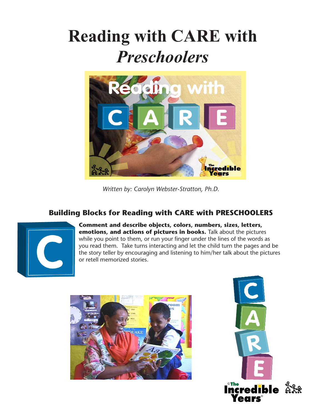## **Reading with CARE with**  *Preschoolers*



*Written by: Carolyn Webster-Stratton, Ph.D.*

## **Building Blocks for Reading with CARE with PRESCHOOLERS**



**Comment and describe objects, colors, numbers, sizes, letters, emotions, and actions of pictures in books.** Talk about the pictures while you point to them, or run your finger under the lines of the words as you read them. Take turns interacting and let the child turn the pages and be the story teller by encouraging and listening to him/her talk about the pictures or retell memorized stories.



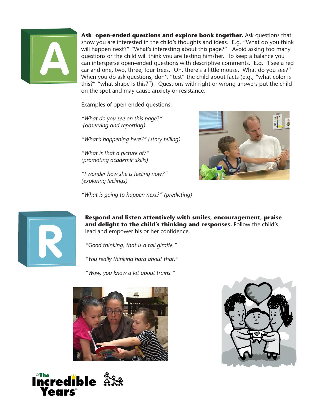

**Ask open-ended questions and explore book together.** Ask questions that show you are interested in the child's thoughts and ideas. E.g. "What do you think will happen next?" "What's interesting about this page?" Avoid asking too many questions or the child will think you are testing him/her. To keep a balance you can intersperse open-ended questions with descriptive comments. E.g. "I see a red car and one, two, three, four trees. Oh, there's a little mouse. What do you see?" When you do ask questions, don't "test" the child about facts (e.g., "what color is this?" "what shape is this?"). Questions with right or wrong answers put the child on the spot and may cause anxiety or resistance.

Examples of open ended questions:

*"What do you see on this page?" (observing and reporting)*

*"What's happening here?" (story telling)*

*"What is that a picture of?" (promoting academic skills)*

*"I wonder how she is feeling now?" (exploring feelings)*



*"What is going to happen next?" (predicting)*



**Respond and listen attentively with smiles, encouragement, praise and delight to the child's thinking and responses.** Follow the child's lead and empower his or her confidence.

*"Good thinking, that is a tall giraffe."*

*"You really thinking hard about that."*

*"Wow, you know a lot about trains."*